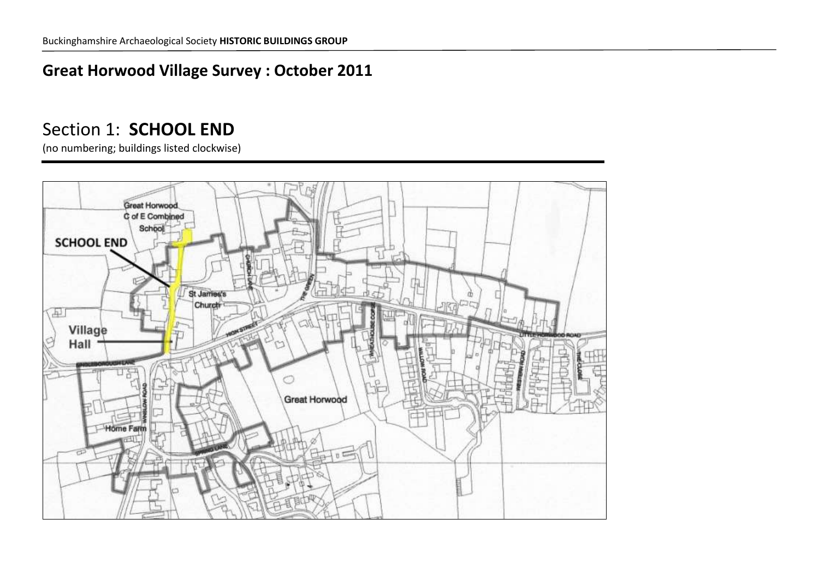## **Great Horwood Village Survey : October 2011**

## Section 1: **SCHOOL END**

(no numbering; buildings listed clockwise)

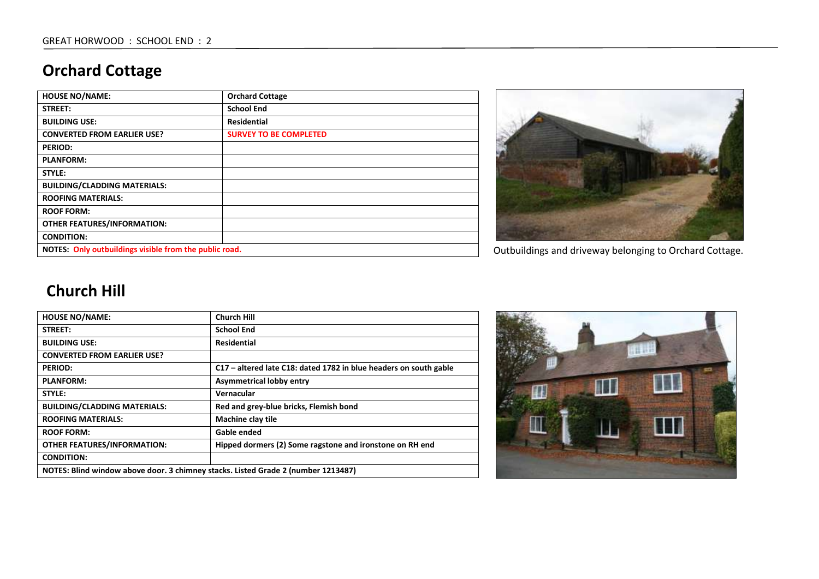# **Orchard Cottage**

| <b>HOUSE NO/NAME:</b>                                  | <b>Orchard Cottage</b>        |
|--------------------------------------------------------|-------------------------------|
| STREET:                                                | <b>School End</b>             |
| <b>BUILDING USE:</b>                                   | <b>Residential</b>            |
| <b>CONVERTED FROM EARLIER USE?</b>                     | <b>SURVEY TO BE COMPLETED</b> |
| <b>PERIOD:</b>                                         |                               |
| <b>PLANFORM:</b>                                       |                               |
| STYLE:                                                 |                               |
| <b>BUILDING/CLADDING MATERIALS:</b>                    |                               |
| <b>ROOFING MATERIALS:</b>                              |                               |
| <b>ROOF FORM:</b>                                      |                               |
| <b>OTHER FEATURES/INFORMATION:</b>                     |                               |
| <b>CONDITION:</b>                                      |                               |
| NOTES: Only outbuildings visible from the public road. |                               |



Outbuildings and driveway belonging to Orchard Cottage.

#### **Church Hill**

| <b>HOUSE NO/NAME:</b>                                                             | <b>Church Hill</b>                                                |
|-----------------------------------------------------------------------------------|-------------------------------------------------------------------|
| <b>STREET:</b>                                                                    | <b>School End</b>                                                 |
| <b>BUILDING USE:</b>                                                              | Residential                                                       |
| <b>CONVERTED FROM EARLIER USE?</b>                                                |                                                                   |
| <b>PERIOD:</b>                                                                    | C17 – altered late C18: dated 1782 in blue headers on south gable |
| <b>PLANFORM:</b>                                                                  | <b>Asymmetrical lobby entry</b>                                   |
| STYLE:                                                                            | Vernacular                                                        |
| <b>BUILDING/CLADDING MATERIALS:</b>                                               | Red and grey-blue bricks, Flemish bond                            |
| <b>ROOFING MATERIALS:</b>                                                         | Machine clay tile                                                 |
| <b>ROOF FORM:</b>                                                                 | Gable ended                                                       |
| <b>OTHER FEATURES/INFORMATION:</b>                                                | Hipped dormers (2) Some ragstone and ironstone on RH end          |
| <b>CONDITION:</b>                                                                 |                                                                   |
| NOTES: Blind window above door. 3 chimney stacks. Listed Grade 2 (number 1213487) |                                                                   |

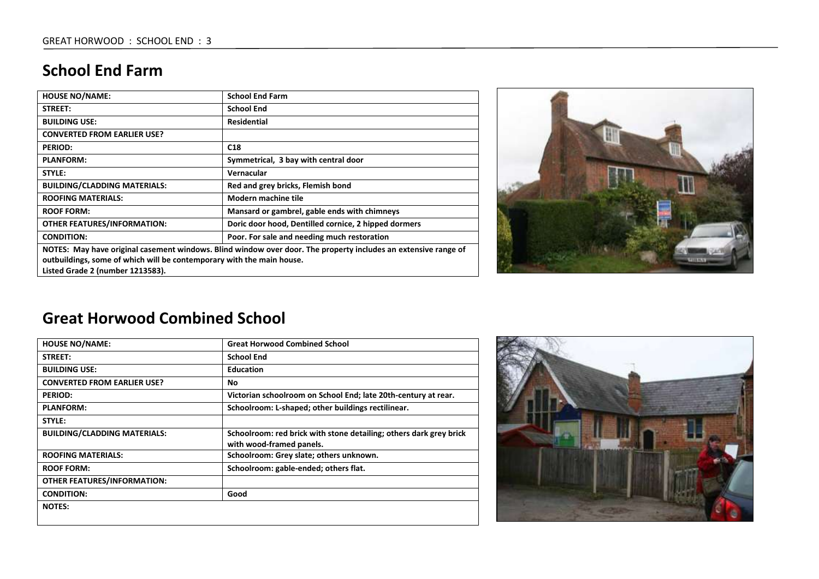### **School End Farm**

| <b>HOUSE NO/NAME:</b>                                                                                                                                                                                                       | <b>School End Farm</b>                               |
|-----------------------------------------------------------------------------------------------------------------------------------------------------------------------------------------------------------------------------|------------------------------------------------------|
| <b>STREET:</b>                                                                                                                                                                                                              | <b>School End</b>                                    |
| <b>BUILDING USE:</b>                                                                                                                                                                                                        | <b>Residential</b>                                   |
| <b>CONVERTED FROM EARLIER USE?</b>                                                                                                                                                                                          |                                                      |
| <b>PERIOD:</b>                                                                                                                                                                                                              | C <sub>18</sub>                                      |
| <b>PLANFORM:</b>                                                                                                                                                                                                            | Symmetrical, 3 bay with central door                 |
| STYLE:                                                                                                                                                                                                                      | Vernacular                                           |
| <b>BUILDING/CLADDING MATERIALS:</b>                                                                                                                                                                                         | Red and grey bricks, Flemish bond                    |
| <b>ROOFING MATERIALS:</b>                                                                                                                                                                                                   | Modern machine tile                                  |
| <b>ROOF FORM:</b>                                                                                                                                                                                                           | Mansard or gambrel, gable ends with chimneys         |
| <b>OTHER FEATURES/INFORMATION:</b>                                                                                                                                                                                          | Doric door hood, Dentilled cornice, 2 hipped dormers |
| <b>CONDITION:</b>                                                                                                                                                                                                           | Poor. For sale and needing much restoration          |
| NOTES: May have original casement windows. Blind window over door. The property includes an extensive range of<br>outbuildings, some of which will be contemporary with the main house.<br>Listed Grade 2 (number 1213583). |                                                      |



#### **Great Horwood Combined School**

| <b>HOUSE NO/NAME:</b>               | <b>Great Horwood Combined School</b>                                                           |
|-------------------------------------|------------------------------------------------------------------------------------------------|
| <b>STREET:</b>                      | <b>School End</b>                                                                              |
| <b>BUILDING USE:</b>                | <b>Education</b>                                                                               |
| <b>CONVERTED FROM EARLIER USE?</b>  | No                                                                                             |
| <b>PERIOD:</b>                      | Victorian schoolroom on School End; late 20th-century at rear.                                 |
| <b>PLANFORM:</b>                    | Schoolroom: L-shaped; other buildings rectilinear.                                             |
| STYLE:                              |                                                                                                |
| <b>BUILDING/CLADDING MATERIALS:</b> | Schoolroom: red brick with stone detailing; others dark grey brick<br>with wood-framed panels. |
| <b>ROOFING MATERIALS:</b>           | Schoolroom: Grey slate; others unknown.                                                        |
| <b>ROOF FORM:</b>                   | Schoolroom: gable-ended; others flat.                                                          |
| <b>OTHER FEATURES/INFORMATION:</b>  |                                                                                                |
| <b>CONDITION:</b>                   | Good                                                                                           |
| <b>NOTES:</b>                       |                                                                                                |

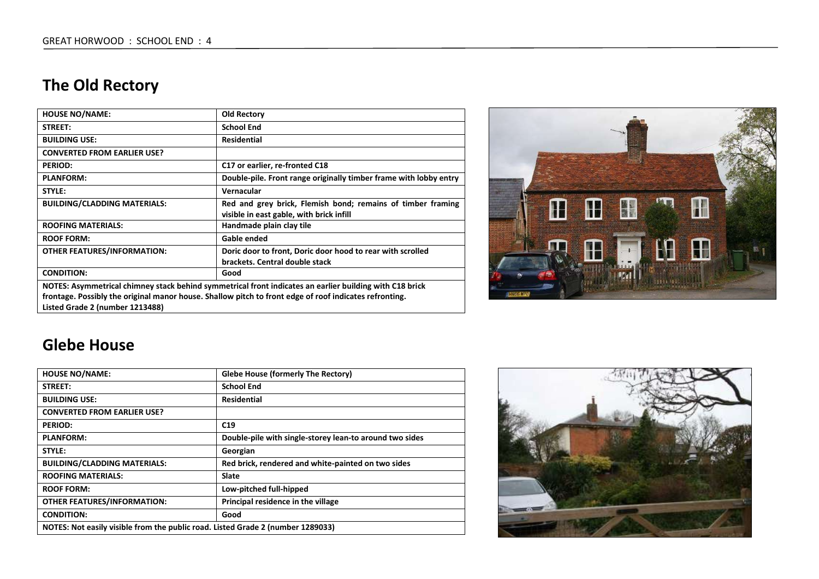# **The Old Rectory**

| <b>HOUSE NO/NAME:</b>                                                                                   | <b>Old Rectory</b>                                                                                      |
|---------------------------------------------------------------------------------------------------------|---------------------------------------------------------------------------------------------------------|
| STREET:                                                                                                 | <b>School End</b>                                                                                       |
| <b>BUILDING USE:</b>                                                                                    | <b>Residential</b>                                                                                      |
| <b>CONVERTED FROM EARLIER USE?</b>                                                                      |                                                                                                         |
| <b>PERIOD:</b>                                                                                          | C17 or earlier, re-fronted C18                                                                          |
| <b>PLANFORM:</b>                                                                                        | Double-pile. Front range originally timber frame with lobby entry                                       |
| STYLE:                                                                                                  | Vernacular                                                                                              |
| <b>BUILDING/CLADDING MATERIALS:</b>                                                                     | Red and grey brick, Flemish bond; remains of timber framing<br>visible in east gable, with brick infill |
| <b>ROOFING MATERIALS:</b>                                                                               | Handmade plain clay tile                                                                                |
| <b>ROOF FORM:</b>                                                                                       | Gable ended                                                                                             |
| <b>OTHER FEATURES/INFORMATION:</b>                                                                      | Doric door to front, Doric door hood to rear with scrolled<br>brackets. Central double stack            |
| <b>CONDITION:</b>                                                                                       | Good                                                                                                    |
| NOTES: Asymmetrical chimney stack behind symmetrical front indicates an earlier building with C18 brick |                                                                                                         |
| frontage. Possibly the original manor house. Shallow pitch to front edge of roof indicates refronting.  |                                                                                                         |
| Listed Grade 2 (number 1213488)                                                                         |                                                                                                         |



#### **Glebe House**

| <b>HOUSE NO/NAME:</b>                                                           | Glebe House (formerly The Rectory)                      |
|---------------------------------------------------------------------------------|---------------------------------------------------------|
| STREET:                                                                         | <b>School End</b>                                       |
| <b>BUILDING USE:</b>                                                            | Residential                                             |
| <b>CONVERTED FROM EARLIER USE?</b>                                              |                                                         |
| <b>PERIOD:</b>                                                                  | C19                                                     |
| <b>PLANFORM:</b>                                                                | Double-pile with single-storey lean-to around two sides |
| <b>STYLE:</b>                                                                   | Georgian                                                |
| <b>BUILDING/CLADDING MATERIALS:</b>                                             | Red brick, rendered and white-painted on two sides      |
| <b>ROOFING MATERIALS:</b>                                                       | <b>Slate</b>                                            |
| <b>ROOF FORM:</b>                                                               | Low-pitched full-hipped                                 |
| <b>OTHER FEATURES/INFORMATION:</b>                                              | Principal residence in the village                      |
| <b>CONDITION:</b>                                                               | Good                                                    |
| NOTES: Not easily visible from the public road. Listed Grade 2 (number 1289033) |                                                         |